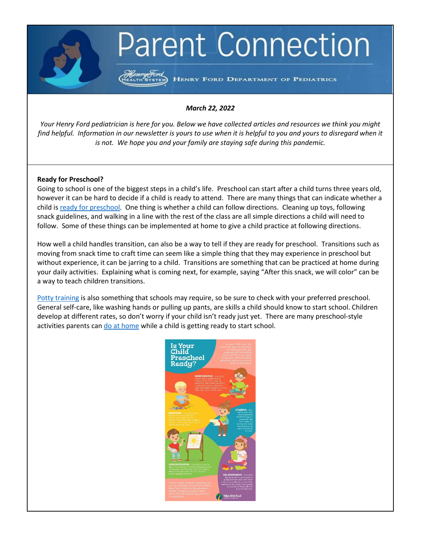# **Parent Connection**

HENRY FORD DEPARTMENT OF PEDIATRICS

### *March 22, 2022*

*Your Henry Ford pediatrician is here for you. Below we have collected articles and resources we think you might find helpful. Information in our newsletter is yours to use when it is helpful to you and yours to disregard when it is not. We hope you and your family are staying safe during this pandemic.*

#### **Ready for Preschool?**

Going to school is one of the biggest steps in a child's life. Preschool can start after a child turns three years old, however it can be hard to decide if a child is ready to attend. There are many things that can indicate whether a child is [ready for preschool.](https://www.verywellfamily.com/is-your-child-ready-to-start-preschool-2764924) One thing is whether a child can follow directions. Cleaning up toys, following snack guidelines, and walking in a line with the rest of the class are all simple directions a child will need to follow. Some of these things can be implemented at home to give a child practice at following directions.

How well a child handles transition, can also be a way to tell if they are ready for preschool. Transitions such as moving from snack time to craft time can seem like a simple thing that they may experience in preschool but without experience, it can be jarring to a child. Transitions are something that can be practiced at home during your daily activities. Explaining what is coming next, for example, saying "After this snack, we will color" can be a way to teach children transitions.

[Potty training](https://www.pampers.com/en-us/toddler/potty-training/article/potty-training-tips-step-by-step-potty-training) is also something that schools may require, so be sure to check with your preferred preschool. General self-care, like washing hands or pulling up pants, are skills a child should know to start school. Children develop at different rates, so don't worry if your child isn't ready just yet. There are many preschool-style activities parents can [do at home](https://www.pre-kpages.com/preschool-activities-to-do-at-home-or-in-the-classroom/) while a child is getting ready to start school.

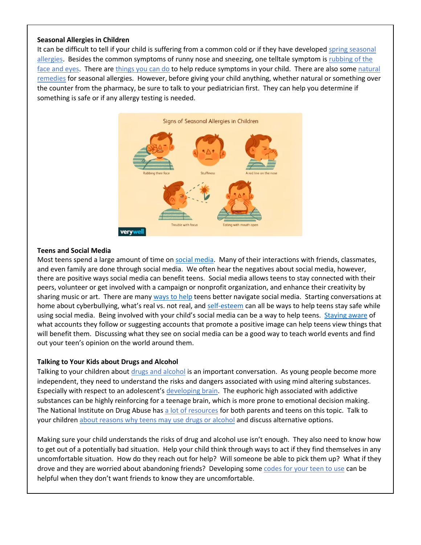### **Seasonal Allergies in Children**

It can be difficult to tell if your child is suffering from a common cold or if they have developed [spring seasonal](https://www.everydayhealth.com/hs/allergy/most-common-spring-allergies/)  [allergies.](https://www.everydayhealth.com/hs/allergy/most-common-spring-allergies/) Besides the common symptoms of runny nose and sneezing, one telltale symptom i[s rubbing of the](https://health.clevelandclinic.org/suspect-your-sniffling-child-has-seasonal-allergies-look-for-this-sign/)  [face and eyes.](https://health.clevelandclinic.org/suspect-your-sniffling-child-has-seasonal-allergies-look-for-this-sign/) There are [things you can do](https://www.childrens.com/health-wellness/8-tips-for-preventing-allergies) to help reduce symptoms in your child. There are also some [natural](https://www.healthline.com/health/home-remedies-for-allergies#home-remedies)  [remedies](https://www.healthline.com/health/home-remedies-for-allergies#home-remedies) for seasonal allergies. However, before giving your child anything, whether natural or something over the counter from the pharmacy, be sure to talk to your pediatrician first. They can help you determine if something is safe or if any allergy testing is needed.



### **Teens and Social Media**

Most teens spend a large amount of time on [social media.](https://www.henryford.com/blog/2022/02/how-to-help-teens-safely-navigate-social-media) Many of their interactions with friends, classmates, and even family are done through social media. We often hear the negatives about social media, however, there are positive ways social media can benefit teens. Social media allows teens to stay connected with their peers, volunteer or get involved with a campaign or nonprofit organization, and enhance their creativity by sharing music or art. There are many [ways to help](https://kidshealth.org/en/parents/social-media-smarts.html) teens better navigate social media. Starting conversations at home about cyberbullying, what's real vs. not real, and [self-esteem](https://www.verywellfamily.com/essential-strategies-for-raising-a-confident-teen-2611002) can all be ways to help teens stay safe while using social media. Being involved with your child's social media can be a way to help teens. [Staying aware](https://www.nytimes.com/2021/09/21/well/family/teens-social-media-help.html) of what accounts they follow or suggesting accounts that promote a positive image can help teens view things that will benefit them. Discussing what they see on social media can be a good way to teach world events and find out your teen's opinion on the world around them.

### **Talking to Your Kids about Drugs and Alcohol**

Talking to your children about [drugs and alcohol](https://kidshealth.org/en/parents/talk-about-drugs.html) is an important conversation. As young people become more independent, they need to understand the risks and dangers associated with using mind altering substances. Especially with respect to an adolescent's [developing brain.](https://projectknow.com/teen/substance-abuse-and-the-brain/) The euphoric high associated with addictive substances can be highly reinforcing for a teenage brain, which is more prone to emotional decision making. The National Institute on Drug Abuse has [a lot of resources](https://teens.drugabuse.gov/) for both parents and teens on this topic. Talk to your children [about reasons why teens may use drugs or alcohol](https://drugpolicy.org/resource/real-reasons-teens-use-drugs) and discuss alternative options.

Making sure your child understands the risks of drug and alcohol use isn't enough. They also need to know how to get out of a potentially bad situation. Help your child think through ways to act if they find themselves in any uncomfortable situation. How do they reach out for help? Will someone be able to pick them up? What if they drove and they are worried about abandoning friends? Developing some [codes for your teen to use](https://www.parents.com/news/parents-are-sharing-codes-their-kids-use-when-they-discreetly-want-to-get-out-of-a-troubling-situation/) can be helpful when they don't want friends to know they are uncomfortable.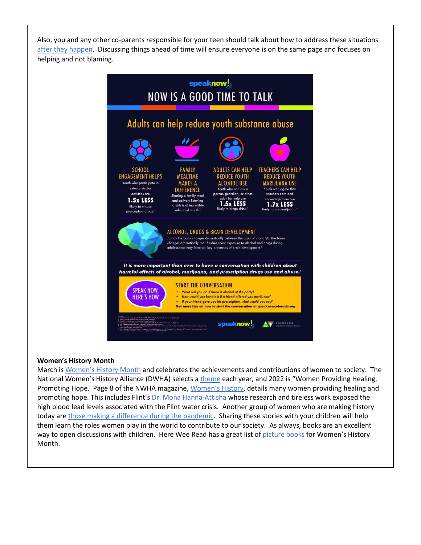Also, you and any other co-parents responsible for your teen should talk about how to address these situations [after they happen.](https://drugfree.org/article/how-to-address-alcohol-and-underage-drinking/) Discussing things ahead of time will ensure everyone is on the same page and focuses on helping and not blaming.



### **Women's History Month**

March is [Women's History Month](https://kids.nationalgeographic.com/history/article/womens-history-month) and celebrates the achievements and contributions of women to society. The National Women's History Alliance (DWHA) selects a [theme](https://nationalwomenshistoryalliance.org/2022-theme/) each year, and 2022 is "Women Providing Healing, Promoting Hope. Page 8 of the NWHA magazine, [Women's History](https://nationalwomenshistoryalliance.org/wp-content/uploads/NWHA-2022-Magazine.pdf), details many women providing healing and promoting hope. This includes Flint's [Dr. Mona Hanna-Attisha](https://en.wikipedia.org/wiki/Mona_Hanna-Attisha) whose research and tireless work exposed the high blood lead levels associated with the Flint water crisis. Another group of women who are making history today are [those making a difference during the pandemic.](https://www.unwomen.org/en/news/stories/2021/2/compilation-women-in-science-leading-during-the-pandemic) Sharing these stories with your children will help them learn the roles women play in the world to contribute to our society. As always, books are an excellent way to open discussions with children. Here Wee Read has a great list of [picture books](https://hereweeread.com/2016/03/25-childrens-picture-books-womens-history-month.html) for Women's History Month.